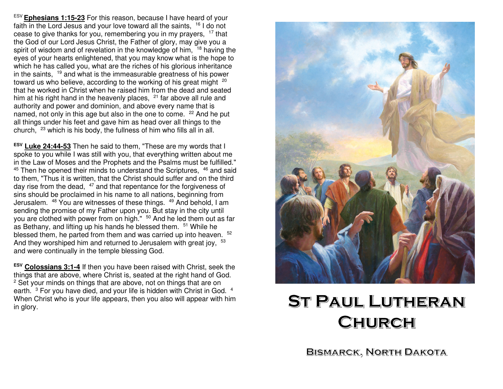ESV **Ephesians 1:15-23** For this reason, because I have heard of your faith in the Lord Jesus and your love toward all the saints, <sup>16</sup> I do not cease to give thanks for you, remembering you in my prayers, <sup>17</sup> that the God of our Lord Jesus Christ, the Father of glory, may give you a spirit of wisdom and of revelation in the knowledge of him, <sup>18</sup> having the eyes of your hearts enlightened, that you may know what is the hope to which he has called you, what are the riches of his glorious inheritance in the saints, 19 and what is the immeasurable greatness of his power toward us who believe, according to the working of his great might <sup>20</sup> that he worked in Christ when he raised him from the dead and seated him at his right hand in the heavenly places,  $21$  far above all rule and authority and power and dominion, and above every name that is named, not only in this age but also in the one to come. <sup>22</sup> And he put all things under his feet and gave him as head over all things to the church, 23 which is his body, the fullness of him who fills all in all.

**ESV Luke 24:44-53** Then he said to them, "These are my words that I spoke to you while I was still with you, that everything written about me in the Law of Moses and the Prophets and the Psalms must be fulfilled." $45$  Then he opened their minds to understand the Scriptures,  $46$  and said to them, "Thus it is written, that the Christ should suffer and on the third day rise from the dead, <sup>47</sup> and that repentance for the forgiveness of sins should be proclaimed in his name to all nations, beginning from Jerusalem. <sup>48</sup> You are witnesses of these things. <sup>49</sup> And behold, I am sending the promise of my Father upon you. But stay in the city until you are clothed with power from on high." <sup>50</sup> And he led them out as far as Bethany, and lifting up his hands he blessed them. <sup>51</sup> While he blessed them, he parted from them and was carried up into heaven. <sup>52</sup> And they worshiped him and returned to Jerusalem with great joy, <sup>53</sup> and were continually in the temple blessing God.

**ESV Colossians 3:1-4** If then you have been raised with Christ, seek the things that are above, where Christ is, seated at the right hand of God.<sup>2</sup> Set your minds on things that are above, not on things that are on earth.  $3$  For you have died, and your life is hidden with Christ in God.  $4$  When Christ who is your life appears, then you also will appear with him in glory.



# **ST PAUL LUTHERAN** CHURCH

**BISMARCK, NORTH DAKOTA**